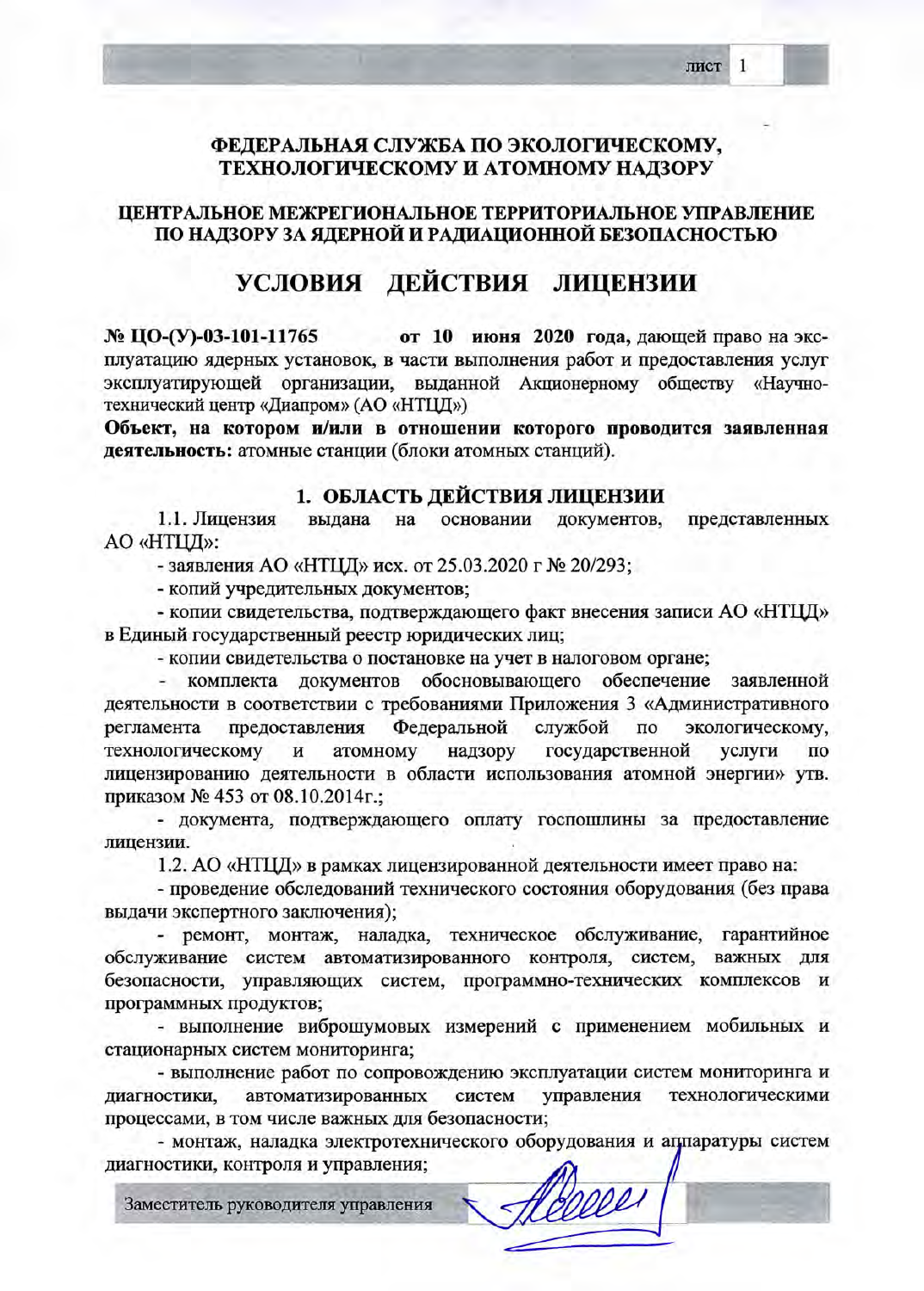1

### ФЕДЕРАЛЬНАЯ СЛУЖБА ПО ЭКОЛОГИЧЕСКОМУ, ТЕХНОЛОГИЧЕСКОМУ И АТОМНОМУ НАДЗОРУ

#### ЦЕНТРАЛЬНОЕ МЕЖРЕГИОНАЛЬНОЕ ТЕРРИТОРИАЛЬНОЕ УПРАВЛЕНИЕ ПО НАДЗОРУ ЗА ЯДЕРНОЙ И РАДИАЦИОННОЙ БЕЗОПАСНОСТЬЮ

# УСЛОВИЯ ДЕЙСТВИЯ ЛИЦЕНЗИИ

№ ЦО-(У)-03-101-11765 от 10 июня 2020 года, дающей право на эксплуатацию ядерных установок, в части выполнения работ и предоставления услуг эксплуатирующей организации, выданной Акционерному обществу «Научнотехнический центр «Диапром» (АО «НТЦД»)

Объект, на котором и/или в отношении которого проводится заявленная деятельность: атомные станции (блоки атомных станций).

#### 1. ОБЛАСТЬ ДЕЙСТВИЯ ЛИЦЕНЗИИ

1.1. Лицензия выдана на основании документов, представленных AO «НТЦД»:

- заявления АО «НТЦД» исх. от 25.03.2020 г № 20/293;

- копий учредительных документов;

- копии свидетельства, подтверждающего факт внесения записи АО «НТЦД» в Единый государственный реестр юридических лиц;

- копии свидетельства о постановке на учет в налоговом органе;

комплекта документов обосновывающего обеспечение заявленной деятельности в соответствии с требованиями Приложения 3 «Административного регламента предоставления Федеральной службой  $\overline{a}$ экологическому, технологическому надзору государственной и атомному услуги по лицензированию деятельности в области использования атомной энергии» утв. приказом № 453 от 08.10.2014г.;

- документа, подтверждающего оплату госпошлины за предоставление лицензии.

1.2. АО «НТЦД» в рамках лицензированной деятельности имеет право на:

- проведение обследований технического состояния оборудования (без права выдачи экспертного заключения);

- ремонт, монтаж, наладка, техническое обслуживание, гарантийное обслуживание систем автоматизированного контроля, систем, важных для безопасности, управляющих систем, программно-технических комплексов и программных продуктов;

- выполнение виброшумовых измерений с применением мобильных и стационарных систем мониторинга;

- выполнение работ по сопровождению эксплуатации систем мониторинга и автоматизированных управления технологическими систем диагностики, процессами, в том числе важных для безопасности;

- монтаж, наладка электротехнического оборудования и аппаратуры систем диагностики, контроля и управления;

Заместитель руководителя управления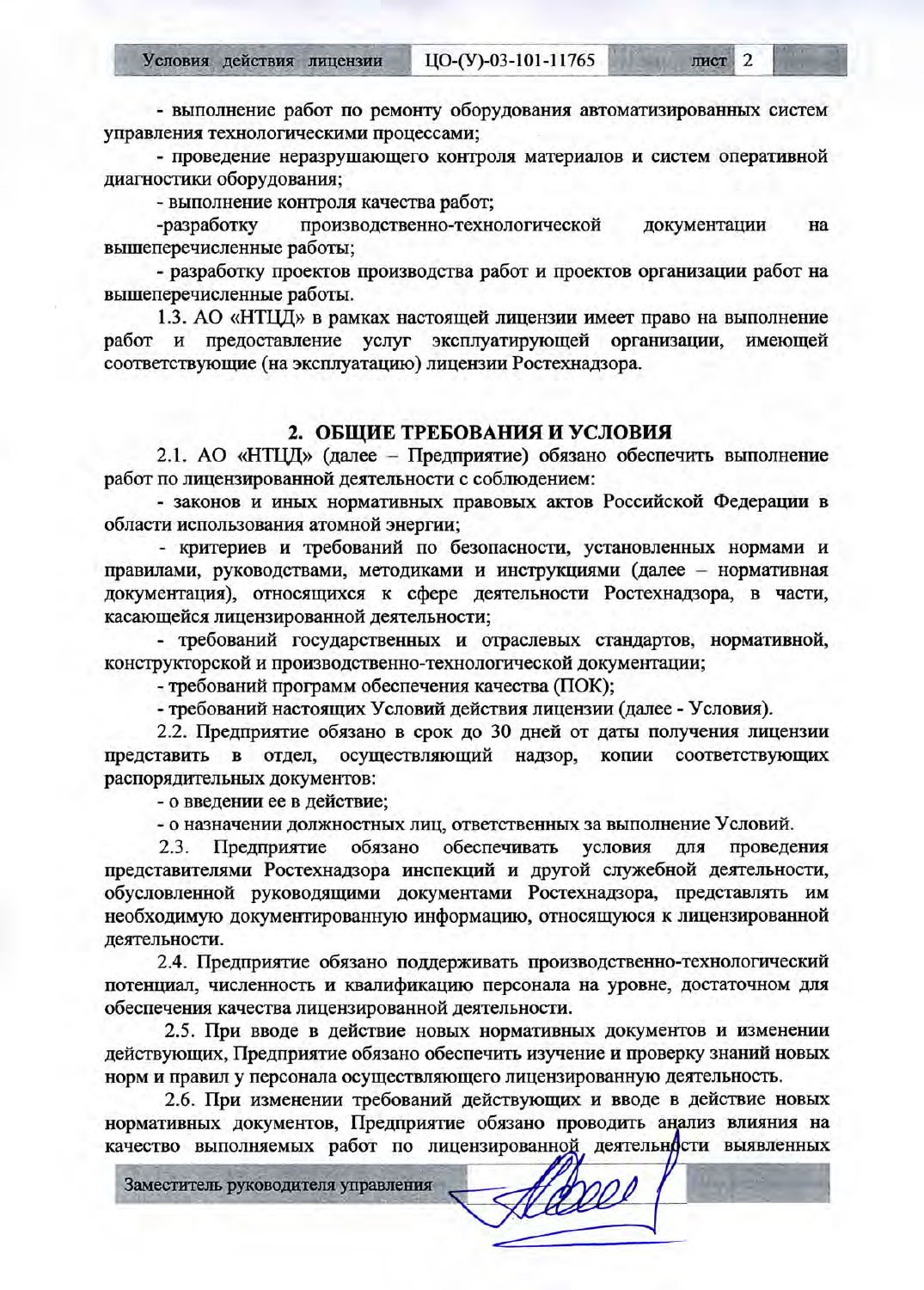IIO-(Y)-03-101-11765 Условия действия лицензии

лист 2

125411

- выполнение работ по ремонту оборудования автоматизированных систем управления технологическими процессами;

- проведение неразрушающего контроля материалов и систем оперативной диагностики оборудования;

- выполнение контроля качества работ;

-разработку производственно-технологической документации на вышеперечисленные работы;

- разработку проектов производства работ и проектов организации работ на вышеперечисленные работы.

1.3. АО «НТЦД» в рамках настоящей лицензии имеет право на выполнение и предоставление услуг эксплуатирующей организации, имеющей работ соответствующие (на эксплуатацию) лицензии Ростехнадзора.

#### 2. ОБЩИЕ ТРЕБОВАНИЯ И УСЛОВИЯ

2.1. АО «НТЦД» (далее - Предприятие) обязано обеспечить выполнение работ по лицензированной деятельности с соблюдением:

- законов и иных нормативных правовых актов Российской Федерации в области использования атомной энергии;

- критериев и требований по безопасности, установленных нормами и правилами, руководствами, методиками и инструкциями (далее - нормативная документация), относящихся к сфере деятельности Ростехнадзора, в части, касающейся лицензированной деятельности;

- требований государственных и отраслевых стандартов, нормативной, конструкторской и производственно-технологической документации;

- требований программ обеспечения качества (ПОК);

- требований настоящих Условий действия лицензии (далее - Условия).

2.2. Предприятие обязано в срок до 30 дней от даты получения лицензии представить в отдел, осуществляющий надзор, копии соответствующих распорядительных документов:

- о введении ее в действие;

- о назначении должностных лиц, ответственных за выполнение Условий.

Предприятие обязано обеспечивать проведения условия для  $2.3.$ представителями Ростехнадзора инспекций и другой служебной деятельности, обусловленной руководящими документами Ростехнадзора, представлять им необходимую документированную информацию, относящуюся к лицензированной деятельности.

2.4. Предприятие обязано поддерживать производственно-технологический потенциал, численность и квалификацию персонала на уровне, достаточном для обеспечения качества лицензированной деятельности.

2.5. При вводе в действие новых нормативных документов и изменении действующих, Предприятие обязано обеспечить изучение и проверку знаний новых норм и правил у персонала осуществляющего лицензированную деятельность.

2.6. При изменении требований действующих и вводе в действие новых нормативных документов. Предприятие обязано проводить анализ влияния на качество выполняемых работ по лицензированной деятельности выявленных

Vaxe

Заместитель руководителя управления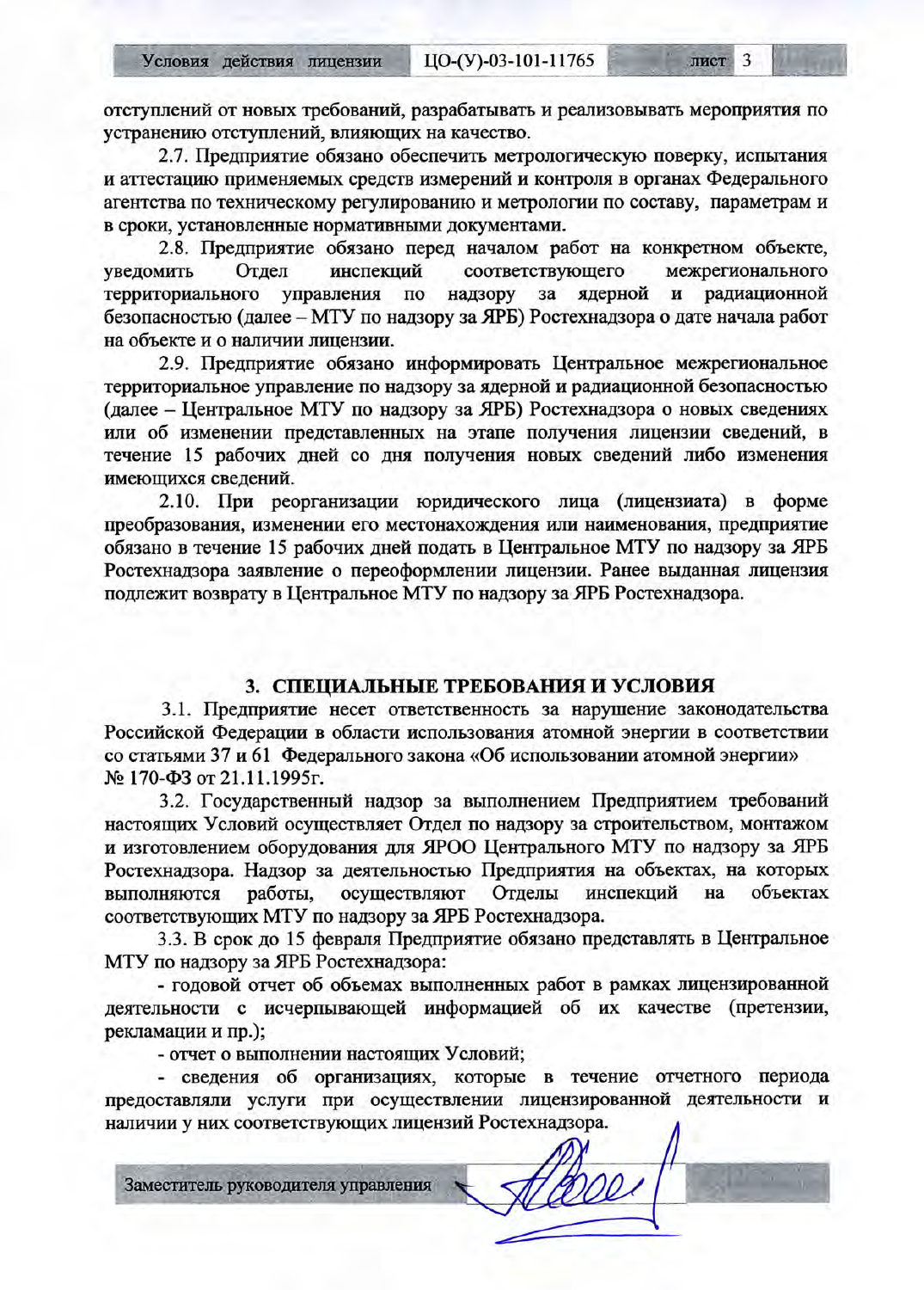отступлений от новых требований, разрабатывать и реализовывать мероприятия по устранению отступлений, влияющих на качество.

2.7. Предприятие обязано обеспечить метрологическую поверку, испытания и аттестацию применяемых средств измерений и контроля в органах Федерального агентства по техническому регулированию и метрологии по составу, параметрам и в сроки, установленные нормативными документами.

2.8. Предприятие обязано перед началом работ на конкретном объекте, соответствующего межрегионального Отдел инспекций уведомить ядерной и радиационной территориального управления  $\overline{a}$ надзору  $3a$ безопасностью (далее - МТУ по надзору за ЯРБ) Ростехнадзора о дате начала работ на объекте и о наличии лицензии.

2.9. Предприятие обязано информировать Центральное межрегиональное территориальное управление по надзору за ядерной и радиационной безопасностью (далее - Центральное МТУ по надзору за ЯРБ) Ростехнадзора о новых сведениях или об изменении представленных на этапе получения лицензии сведений, в течение 15 рабочих дней со дня получения новых сведений либо изменения имеющихся сведений.

2.10. При реорганизации юридического лица (лицензиата) в форме преобразования, изменении его местонахождения или наименования, предприятие обязано в течение 15 рабочих дней подать в Центральное МТУ по надзору за ЯРБ Ростехнадзора заявление о переоформлении лицензии. Ранее выданная лицензия подлежит возврату в Центральное МТУ по надзору за ЯРБ Ростехнадзора.

#### 3. СПЕЦИАЛЬНЫЕ ТРЕБОВАНИЯ И УСЛОВИЯ

3.1. Предприятие несет ответственность за нарушение законодательства Российской Федерации в области использования атомной энергии в соответствии со статьями 37 и 61 Федерального закона «Об использовании атомной энергии» № 170-ФЗ от 21.11.1995г.

3.2. Государственный надзор за выполнением Предприятием требований настоящих Условий осуществляет Отдел по надзору за строительством, монтажом и изготовлением оборудования для ЯРОО Центрального МТУ по надзору за ЯРБ Ростехнадзора. Надзор за деятельностью Предприятия на объектах, на которых выполняются работы, осуществляют Отделы инспекций на объектах соответствующих МТУ по надзору за ЯРБ Ростехнадзора.

3.3. В срок до 15 февраля Предприятие обязано представлять в Центральное МТУ по надзору за ЯРБ Ростехнадзора:

- годовой отчет об объемах выполненных работ в рамках лицензированной деятельности с исчерпывающей информацией об их качестве (претензии, рекламации и пр.);

- отчет о выполнении настоящих Условий;

- сведения об организациях, которые в течение отчетного периода предоставляли услуги при осуществлении лицензированной деятельности и наличии у них соответствующих лицензий Ростехнадзора.

Заместитель руководителя управления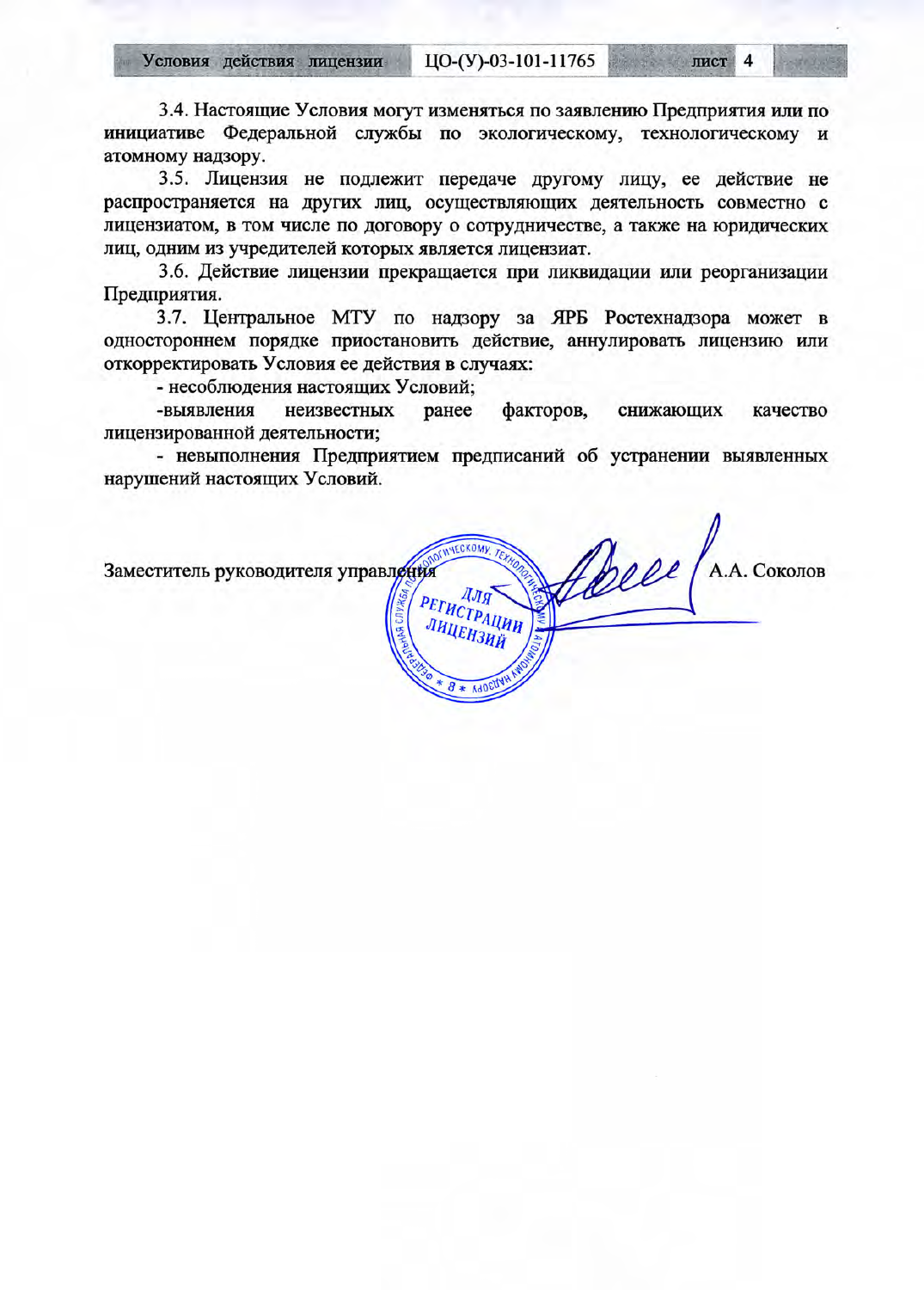3.4. Настоящие Условия могут изменяться по заявлению Предприятия или по инициативе Федеральной службы по экологическому, технологическому и атомному надзору.

3.5. Лицензия не подлежит передаче другому лицу, ее действие не распространяется на других лиц, осуществляющих деятельность совместно с лицензиатом, в том числе по договору о сотрудничестве, а также на юридических лиц, одним из учредителей которых является лицензиат.

3.6. Действие лицензии прекращается при ликвидации или реорганизации Предприятия.

3.7. Центральное МТУ по надзору за ЯРБ Ростехнадзора может в одностороннем порядке приостановить действие, аннулировать лицензию или откорректировать Условия ее действия в случаях:

- несоблюдения настоящих Условий;

-выявления неизвестных факторов, ранее снижающих качество лицензированной деятельности;

- невыполнения Предприятием предписаний об устранении выявленных нарушений настоящих Условий.

Robel (A.A. COKONOB **WHECKOMY** Заместитель руководителя управления ДЛЯ РЕГИСТРАЦИИ ІНЦЕНЗИЙ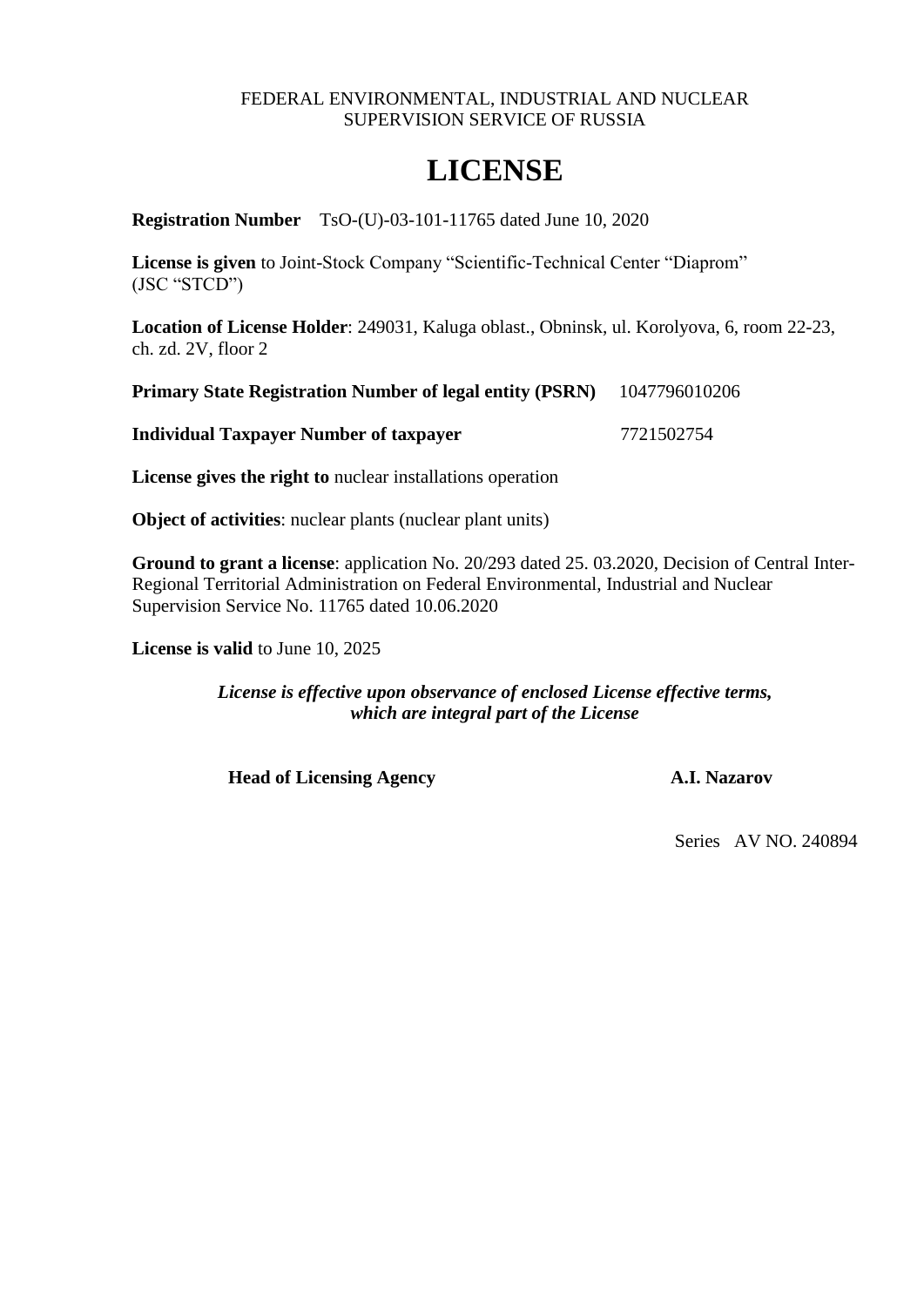#### FEDERAL ENVIRONMENTAL, INDUSTRIAL AND NUCLEAR SUPERVISION SERVICE OF RUSSIA

# **LICENSE**

**Registration Number** TsO-(U)-03-101-11765 dated June 10, 2020

**License is given** to Joint-Stock Company "Scientific-Technical Center "Diaprom" (JSC "STCD")

**Location of License Holder**: 249031, Kaluga oblast., Obninsk, ul. Korolyova, 6, room 22-23, ch. zd. 2V, floor 2

|  | <b>Primary State Registration Number of legal entity (PSRN)</b> | 1047796010206 |
|--|-----------------------------------------------------------------|---------------|
|  |                                                                 |               |

**Individual Taxpayer Number of taxpayer** 7721502754

**License gives the right to** nuclear installations operation

**Object of activities**: nuclear plants (nuclear plant units)

**Ground to grant a license**: application No. 20/293 dated 25. 03.2020, Decision of Central Inter-Regional Territorial Administration on Federal Environmental, Industrial and Nuclear Supervision Service No. 11765 dated 10.06.2020

**License is valid** to June 10, 2025

*License is effective upon observance of enclosed License effective terms, which are integral part of the License*

**Head of Licensing Agency A.I. Nazarov**

Series AV NO. 240894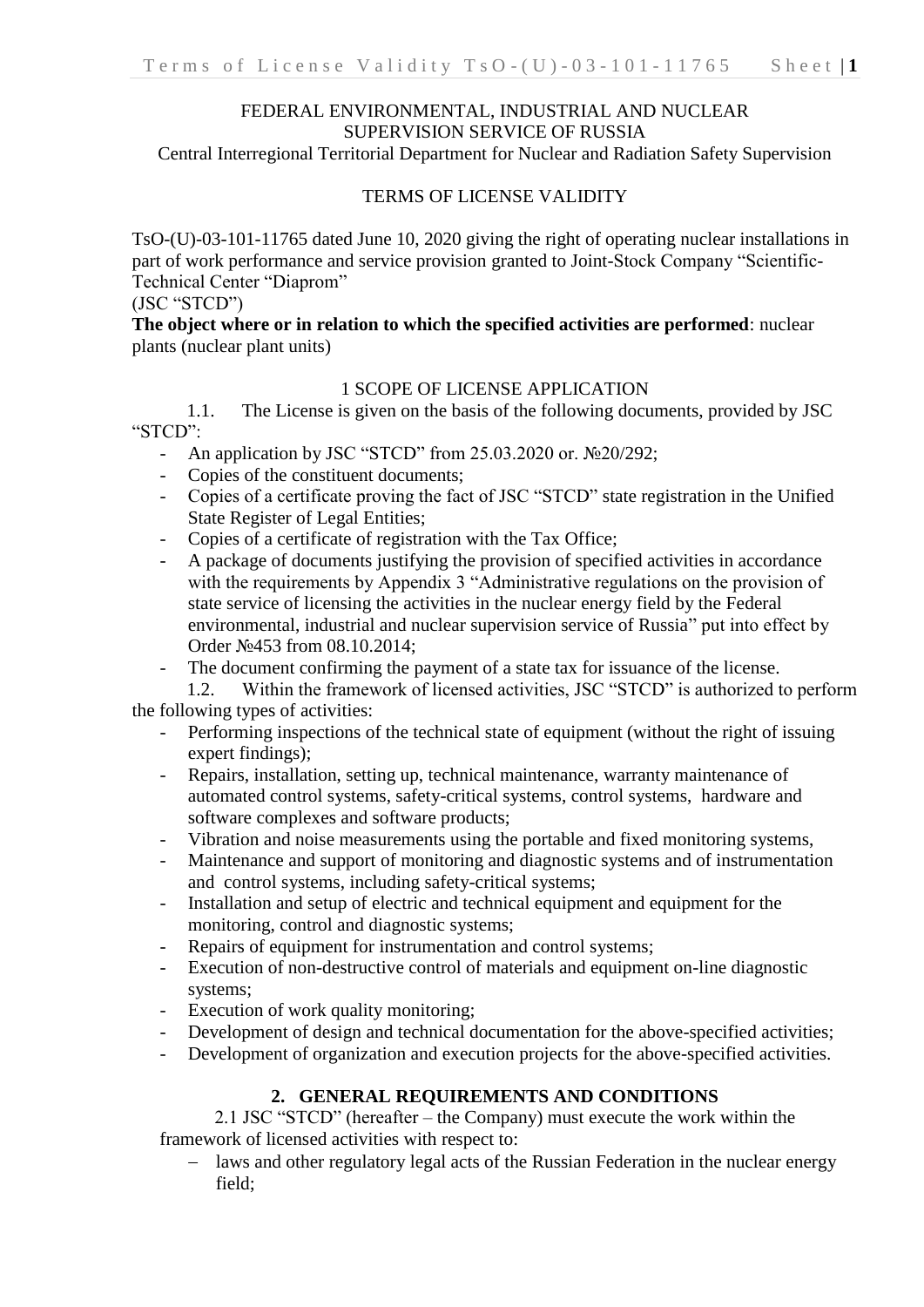### FEDERAL ENVIRONMENTAL, INDUSTRIAL AND NUCLEAR SUPERVISION SERVICE OF RUSSIA

Central Interregional Territorial Department for Nuclear and Radiation Safety Supervision

#### TERMS OF LICENSE VALIDITY

TsO-(U)-03-101-11765 dated June 10, 2020 giving the right of operating nuclear installations in part of work performance and service provision granted to Joint-Stock Company "Scientific-Technical Center "Diaprom"

# (JSC "STCD")

#### **The object where or in relation to which the specified activities are performed**: nuclear plants (nuclear plant units)

#### 1 SCOPE OF LICENSE APPLICATION

1.1. The License is given on the basis of the following documents, provided by JSC "STCD":

- An application by JSC "STCD" from 25.03.2020 or. №20/292;
- Copies of the constituent documents:
- Copies of a certificate proving the fact of JSC "STCD" state registration in the Unified State Register of Legal Entities;
- Copies of a certificate of registration with the Tax Office;
- A package of documents justifying the provision of specified activities in accordance with the requirements by Appendix 3 "Administrative regulations on the provision of state service of licensing the activities in the nuclear energy field by the Federal environmental, industrial and nuclear supervision service of Russia" put into effect by Order №453 from 08.10.2014;
- The document confirming the payment of a state tax for issuance of the license.

1.2. Within the framework of licensed activities, JSC "STCD" is authorized to perform the following types of activities:

- Performing inspections of the technical state of equipment (without the right of issuing expert findings);
- Repairs, installation, setting up, technical maintenance, warranty maintenance of automated control systems, safety-critical systems, control systems, hardware and software complexes and software products;
- Vibration and noise measurements using the portable and fixed monitoring systems,
- Maintenance and support of monitoring and diagnostic systems and of instrumentation and control systems, including safety-critical systems;
- Installation and setup of electric and technical equipment and equipment for the monitoring, control and diagnostic systems;
- Repairs of equipment for instrumentation and control systems;
- Execution of non-destructive control of materials and equipment on-line diagnostic systems;
- Execution of work quality monitoring;
- Development of design and technical documentation for the above-specified activities;
- Development of organization and execution projects for the above-specified activities.

# **2. GENERAL REQUIREMENTS AND CONDITIONS**

2.1 JSC "STCD" (hereafter – the Company) must execute the work within the framework of licensed activities with respect to:

- laws and other regulatory legal acts of the Russian Federation in the nuclear energy field;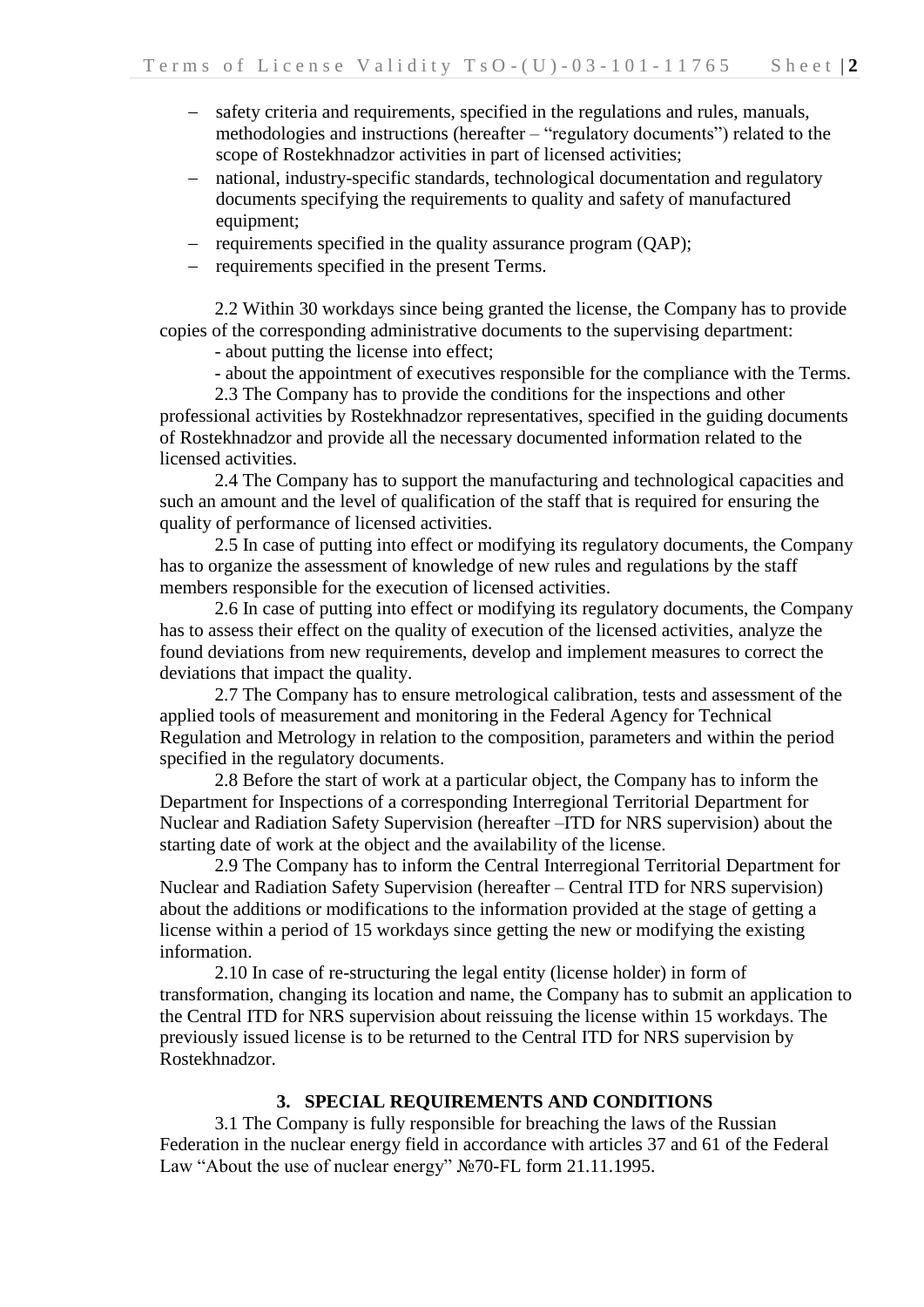- safety criteria and requirements, specified in the regulations and rules, manuals, methodologies and instructions (hereafter – "regulatory documents") related to the scope of Rostekhnadzor activities in part of licensed activities;
- national, industry-specific standards, technological documentation and regulatory documents specifying the requirements to quality and safety of manufactured equipment;
- requirements specified in the quality assurance program (QAP);
- requirements specified in the present Terms.

2.2 Within 30 workdays since being granted the license, the Company has to provide copies of the corresponding administrative documents to the supervising department:

- about putting the license into effect;

- about the appointment of executives responsible for the compliance with the Terms.

2.3 The Company has to provide the conditions for the inspections and other professional activities by Rostekhnadzor representatives, specified in the guiding documents of Rostekhnadzor and provide all the necessary documented information related to the licensed activities.

2.4 The Company has to support the manufacturing and technological capacities and such an amount and the level of qualification of the staff that is required for ensuring the quality of performance of licensed activities.

2.5 In case of putting into effect or modifying its regulatory documents, the Company has to organize the assessment of knowledge of new rules and regulations by the staff members responsible for the execution of licensed activities.

2.6 In case of putting into effect or modifying its regulatory documents, the Company has to assess their effect on the quality of execution of the licensed activities, analyze the found deviations from new requirements, develop and implement measures to correct the deviations that impact the quality.

2.7 The Company has to ensure metrological calibration, tests and assessment of the applied tools of measurement and monitoring in the Federal Agency for Technical Regulation and Metrology in relation to the composition, parameters and within the period specified in the regulatory documents.

2.8 Before the start of work at a particular object, the Company has to inform the Department for Inspections of a corresponding Interregional Territorial Department for Nuclear and Radiation Safety Supervision (hereafter –ITD for NRS supervision) about the starting date of work at the object and the availability of the license.

2.9 The Company has to inform the Central Interregional Territorial Department for Nuclear and Radiation Safety Supervision (hereafter – Central ITD for NRS supervision) about the additions or modifications to the information provided at the stage of getting a license within a period of 15 workdays since getting the new or modifying the existing information.

2.10 In case of re-structuring the legal entity (license holder) in form of transformation, changing its location and name, the Company has to submit an application to the Central ITD for NRS supervision about reissuing the license within 15 workdays. The previously issued license is to be returned to the Central ITD for NRS supervision by Rostekhnadzor.

# **3. SPECIAL REQUIREMENTS AND CONDITIONS**

3.1 The Company is fully responsible for breaching the laws of the Russian Federation in the nuclear energy field in accordance with articles 37 and 61 of the Federal Law "About the use of nuclear energy" №70-FL form 21.11.1995.